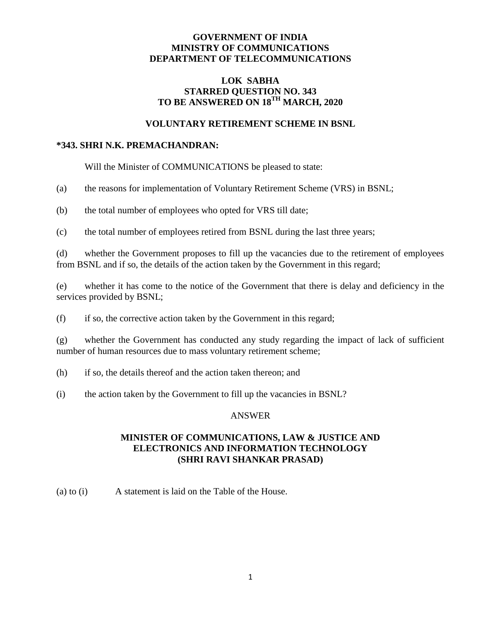## **GOVERNMENT OF INDIA MINISTRY OF COMMUNICATIONS DEPARTMENT OF TELECOMMUNICATIONS**

# **LOK SABHA STARRED QUESTION NO. 343**  $\bf TO$  BE ANSWERED ON 18<sup>TH</sup> MARCH, 2020

### **VOLUNTARY RETIREMENT SCHEME IN BSNL**

#### **\*343. SHRI N.K. PREMACHANDRAN:**

Will the Minister of COMMUNICATIONS be pleased to state:

(a) the reasons for implementation of Voluntary Retirement Scheme (VRS) in BSNL;

(b) the total number of employees who opted for VRS till date;

(c) the total number of employees retired from BSNL during the last three years;

(d) whether the Government proposes to fill up the vacancies due to the retirement of employees from BSNL and if so, the details of the action taken by the Government in this regard;

(e) whether it has come to the notice of the Government that there is delay and deficiency in the services provided by BSNL;

(f) if so, the corrective action taken by the Government in this regard;

(g) whether the Government has conducted any study regarding the impact of lack of sufficient number of human resources due to mass voluntary retirement scheme;

(h) if so, the details thereof and the action taken thereon; and

(i) the action taken by the Government to fill up the vacancies in BSNL?

### ANSWER

# **MINISTER OF COMMUNICATIONS, LAW & JUSTICE AND ELECTRONICS AND INFORMATION TECHNOLOGY (SHRI RAVI SHANKAR PRASAD)**

(a) to (i) A statement is laid on the Table of the House.